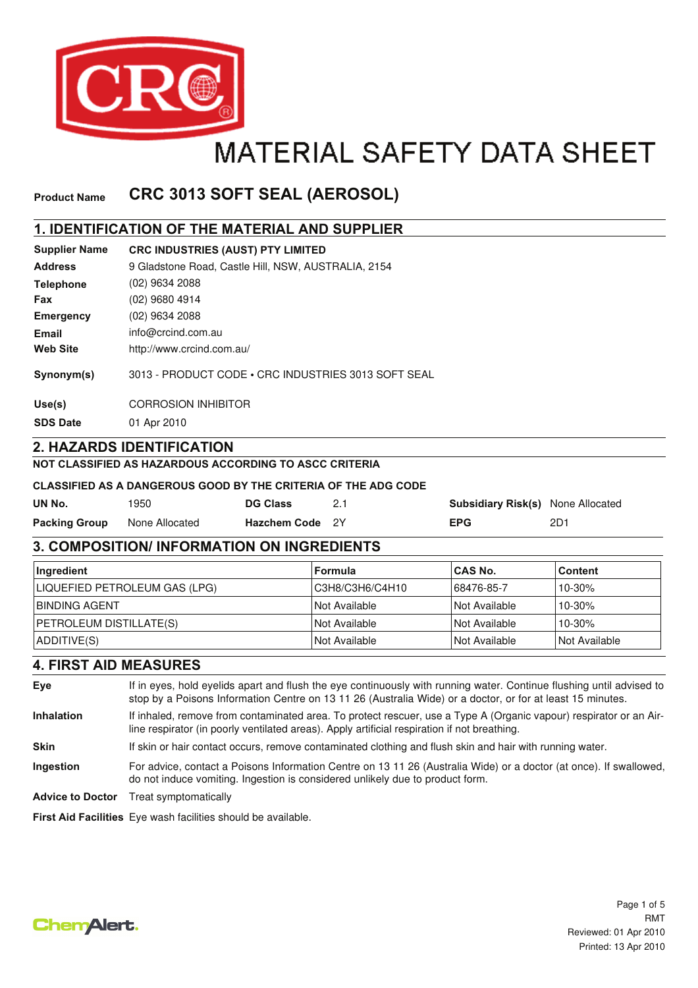

# **MATERIAL SAFETY DATA SHEET**

#### **CRC 3013 SOFT SEAL (AEROSOL) Product Name**

## **1. IDENTIFICATION OF THE MATERIAL AND SUPPLIER**

| <b>Supplier Name</b> | <b>CRC INDUSTRIES (AUST) PTY LIMITED</b>            |
|----------------------|-----------------------------------------------------|
| <b>Address</b>       | 9 Gladstone Road, Castle Hill, NSW, AUSTRALIA, 2154 |
| <b>Telephone</b>     | (02) 9634 2088                                      |
| <b>Fax</b>           | (02) 9680 4914                                      |
| <b>Emergency</b>     | (02) 9634 2088                                      |
| Email                | info@crcind.com.au                                  |
| <b>Web Site</b>      | http://www.crcind.com.au/                           |
| Synonym(s)           | 3013 - PRODUCT CODE • CRC INDUSTRIES 3013 SOFT SEAL |
| Use(s)               | <b>CORROSION INHIBITOR</b>                          |
| <b>SDS Date</b>      | 01 Apr 2010                                         |
|                      | <b>2. HAZARDS IDENTIFICATION</b>                    |

#### **NOT CLASSIFIED AS HAZARDOUS ACCORDING TO ASCC CRITERIA**

#### **CLASSIFIED AS A DANGEROUS GOOD BY THE CRITERIA OF THE ADG CODE**

| UN No.               | 1950           | <b>DG Class</b> | <b>Subsidiary Risk(s)</b> None Allocated |     |
|----------------------|----------------|-----------------|------------------------------------------|-----|
| <b>Packing Group</b> | None Allocated | Hazchem Code 2Y | <b>EPG</b>                               | 2D1 |

## **3. COMPOSITION/ INFORMATION ON INGREDIENTS**

| ∣Ingredient                    | ∣Formula             | ∣CAS No.                    | ∣Content      |
|--------------------------------|----------------------|-----------------------------|---------------|
| LIQUEFIED PETROLEUM GAS (LPG)  | C3H8/C3H6/C4H10      | 68476-85-7                  | 10-30%        |
| <b>IBINDING AGENT</b>          | l Not Available      | INot Available              | $10 - 30%$    |
| <b>PETROLEUM DISTILLATE(S)</b> | INot Available       | INot Available              | $10 - 30%$    |
| ADDITIVE(S)                    | <b>Not Available</b> | <i><b>Not Available</b></i> | Not Available |

## **4. FIRST AID MEASURES**

**Eye** If in eyes, hold eyelids apart and flush the eye continuously with running water. Continue flushing until advised to stop by a Poisons Information Centre on 13 11 26 (Australia Wide) or a doctor, or for at least 15 minutes. **Skin** If skin or hair contact occurs, remove contaminated clothing and flush skin and hair with running water. **Inhalation** If inhaled, remove from contaminated area. To protect rescuer, use a Type A (Organic vapour) respirator or an Airline respirator (in poorly ventilated areas). Apply artificial respiration if not breathing. **Ingestion** For advice, contact a Poisons Information Centre on 13 11 26 (Australia Wide) or a doctor (at once). If swallowed, do not induce vomiting. Ingestion is considered unlikely due to product form. **Advice to Doctor** Treat symptomatically **First Aid Facilities** Eye wash facilities should be available.

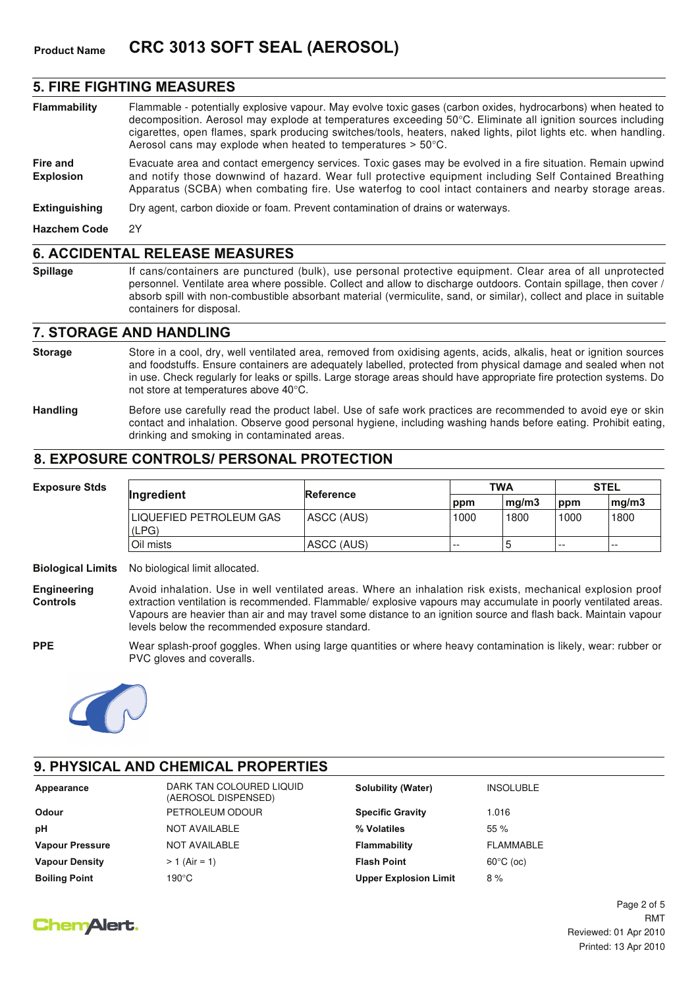#### **5. FIRE FIGHTING MEASURES**

- **Flammability** Flammable potentially explosive vapour. May evolve toxic gases (carbon oxides, hydrocarbons) when heated to decomposition. Aerosol may explode at temperatures exceeding 50°C. Eliminate all ignition sources including cigarettes, open flames, spark producing switches/tools, heaters, naked lights, pilot lights etc. when handling. Aerosol cans may explode when heated to temperatures > 50°C.
- **Fire and Explosion** Evacuate area and contact emergency services. Toxic gases may be evolved in a fire situation. Remain upwind and notify those downwind of hazard. Wear full protective equipment including Self Contained Breathing Apparatus (SCBA) when combating fire. Use waterfog to cool intact containers and nearby storage areas.

**Extinguishing** Dry agent, carbon dioxide or foam. Prevent contamination of drains or waterways.

**Hazchem Code** 2Y

#### **6. ACCIDENTAL RELEASE MEASURES**

**Spillage** If cans/containers are punctured (bulk), use personal protective equipment. Clear area of all unprotected personnel. Ventilate area where possible. Collect and allow to discharge outdoors. Contain spillage, then cover / absorb spill with non-combustible absorbant material (vermiculite, sand, or similar), collect and place in suitable containers for disposal.

#### **7. STORAGE AND HANDLING**

- Store in a cool, dry, well ventilated area, removed from oxidising agents, acids, alkalis, heat or ignition sources and foodstuffs. Ensure containers are adequately labelled, protected from physical damage and sealed when not in use. Check regularly for leaks or spills. Large storage areas should have appropriate fire protection systems. Do not store at temperatures above 40°C. **Storage**
- **Handling** Before use carefully read the product label. Use of safe work practices are recommended to avoid eye or skin contact and inhalation. Observe good personal hygiene, including washing hands before eating. Prohibit eating, drinking and smoking in contaminated areas.

#### **8. EXPOSURE CONTROLS/ PERSONAL PROTECTION**

| <b>Exposure Stds</b> | <b>Ingredient</b>                | <b>Reference</b> |       | <b>TWA</b> |       | <b>STEL</b>              |  |
|----------------------|----------------------------------|------------------|-------|------------|-------|--------------------------|--|
|                      |                                  |                  | ppm   | mg/m3      | ppm   | $\lfloor$ mg/m $\cdot$ 3 |  |
|                      | LIQUEFIED PETROLEUM GAS<br>(LPG) | ASCC (AUS)       | 1000  | 1800       | 1000  | 1800                     |  |
|                      | Oil mists                        | ASCC (AUS)       | $- -$ | ა          | $- -$ | $- -$                    |  |

**Biological Limits** No biological limit allocated.

**Engineering Controls** Avoid inhalation. Use in well ventilated areas. Where an inhalation risk exists, mechanical explosion proof extraction ventilation is recommended. Flammable/ explosive vapours may accumulate in poorly ventilated areas. Vapours are heavier than air and may travel some distance to an ignition source and flash back. Maintain vapour levels below the recommended exposure standard.

**PPE**

Wear splash-proof goggles. When using large quantities or where heavy contamination is likely, wear: rubber or PVC gloves and coveralls.



## **9. PHYSICAL AND CHEMICAL PROPERTIES**

| Appearance             | DARK TAN COLOURED LIQUID<br>(AEROSOL DISPENSED) | <b>Solubility (Water)</b>    | <b>INSOLUBLE</b>    |
|------------------------|-------------------------------------------------|------------------------------|---------------------|
| Odour                  | PETROLEUM ODOUR                                 | <b>Specific Gravity</b>      | 1.016               |
| pН                     | <b>NOT AVAILABLE</b>                            | % Volatiles                  | 55%                 |
| <b>Vapour Pressure</b> | <b>NOT AVAILABLE</b>                            | Flammability                 | FLAMMABLE           |
| <b>Vapour Density</b>  | $> 1$ (Air = 1)                                 | <b>Flash Point</b>           | $60^{\circ}$ C (oc) |
| <b>Boiling Point</b>   | 190°C                                           | <b>Upper Explosion Limit</b> | 8%                  |

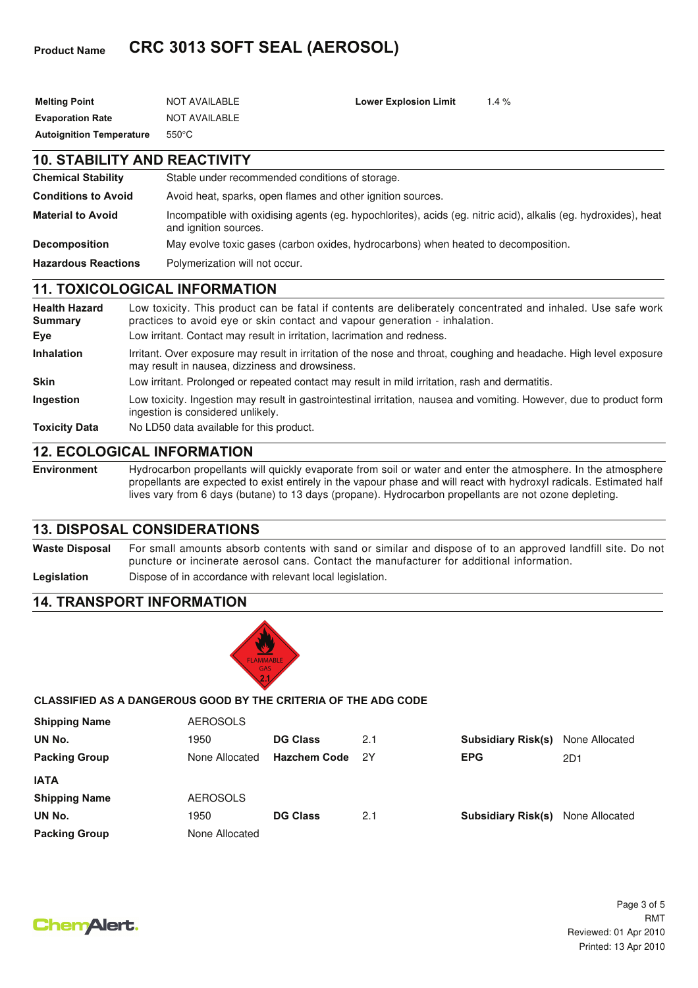## **Product Name CRC 3013 SOFT SEAL (AEROSOL)**

| <b>Melting Point</b>                | <b>NOT AVAILABLE</b>                                                               | <b>Lower Explosion Limit</b> | 1.4%                                                                                                            |
|-------------------------------------|------------------------------------------------------------------------------------|------------------------------|-----------------------------------------------------------------------------------------------------------------|
| <b>Evaporation Rate</b>             | <b>NOT AVAILABLE</b>                                                               |                              |                                                                                                                 |
| <b>Autoignition Temperature</b>     | $550^{\circ}$ C                                                                    |                              |                                                                                                                 |
| <b>10. STABILITY AND REACTIVITY</b> |                                                                                    |                              |                                                                                                                 |
| <b>Chemical Stability</b>           | Stable under recommended conditions of storage.                                    |                              |                                                                                                                 |
| <b>Conditions to Avoid</b>          | Avoid heat, sparks, open flames and other ignition sources.                        |                              |                                                                                                                 |
| <b>Material to Avoid</b>            | and ignition sources.                                                              |                              | Incompatible with oxidising agents (eg. hypochlorites), acids (eg. nitric acid), alkalis (eg. hydroxides), heat |
| <b>Decomposition</b>                | May evolve toxic gases (carbon oxides, hydrocarbons) when heated to decomposition. |                              |                                                                                                                 |
| <b>Hazardous Reactions</b>          | Polymerization will not occur.                                                     |                              |                                                                                                                 |

## **11. TOXICOLOGICAL INFORMATION**

| <b>Health Hazard</b><br><b>Summary</b> | Low toxicity. This product can be fatal if contents are deliberately concentrated and inhaled. Use safe work<br>practices to avoid eye or skin contact and vapour generation - inhalation. |
|----------------------------------------|--------------------------------------------------------------------------------------------------------------------------------------------------------------------------------------------|
| Eye                                    | Low irritant. Contact may result in irritation, lacrimation and redness.                                                                                                                   |
| <b>Inhalation</b>                      | Irritant. Over exposure may result in irritation of the nose and throat, coughing and headache. High level exposure<br>may result in nausea, dizziness and drowsiness.                     |
| <b>Skin</b>                            | Low irritant. Prolonged or repeated contact may result in mild irritation, rash and dermatitis.                                                                                            |
| <b>Ingestion</b>                       | Low toxicity. Ingestion may result in gastrointestinal irritation, nausea and vomiting. However, due to product form<br>ingestion is considered unlikely.                                  |
| <b>Toxicity Data</b>                   | No LD50 data available for this product.                                                                                                                                                   |

## **12. ECOLOGICAL INFORMATION**

**Environment** Hydrocarbon propellants will quickly evaporate from soil or water and enter the atmosphere. In the atmosphere propellants are expected to exist entirely in the vapour phase and will react with hydroxyl radicals. Estimated half lives vary from 6 days (butane) to 13 days (propane). Hydrocarbon propellants are not ozone depleting.

## **13. DISPOSAL CONSIDERATIONS**

**Waste Disposal** For small amounts absorb contents with sand or similar and dispose of to an approved landfill site. Do not puncture or incinerate aerosol cans. Contact the manufacturer for additional information. Legislation **Dispose of in accordance with relevant local legislation.** 

## **14. TRANSPORT INFORMATION**



## **CLASSIFIED AS A DANGEROUS GOOD BY THE CRITERIA OF THE ADG CODE**

| <b>Shipping Name</b> | <b>AEROSOLS</b> |                     |     |                           |                |
|----------------------|-----------------|---------------------|-----|---------------------------|----------------|
| UN No.               | 1950            | <b>DG Class</b>     | 2.1 | <b>Subsidiary Risk(s)</b> | None Allocated |
| <b>Packing Group</b> | None Allocated  | <b>Hazchem Code</b> | 2Y  | <b>EPG</b>                | 2D1            |
| <b>IATA</b>          |                 |                     |     |                           |                |
| <b>Shipping Name</b> | <b>AEROSOLS</b> |                     |     |                           |                |
| UN No.               | 1950            | <b>DG Class</b>     | 2.1 | <b>Subsidiary Risk(s)</b> | None Allocated |
| <b>Packing Group</b> | None Allocated  |                     |     |                           |                |

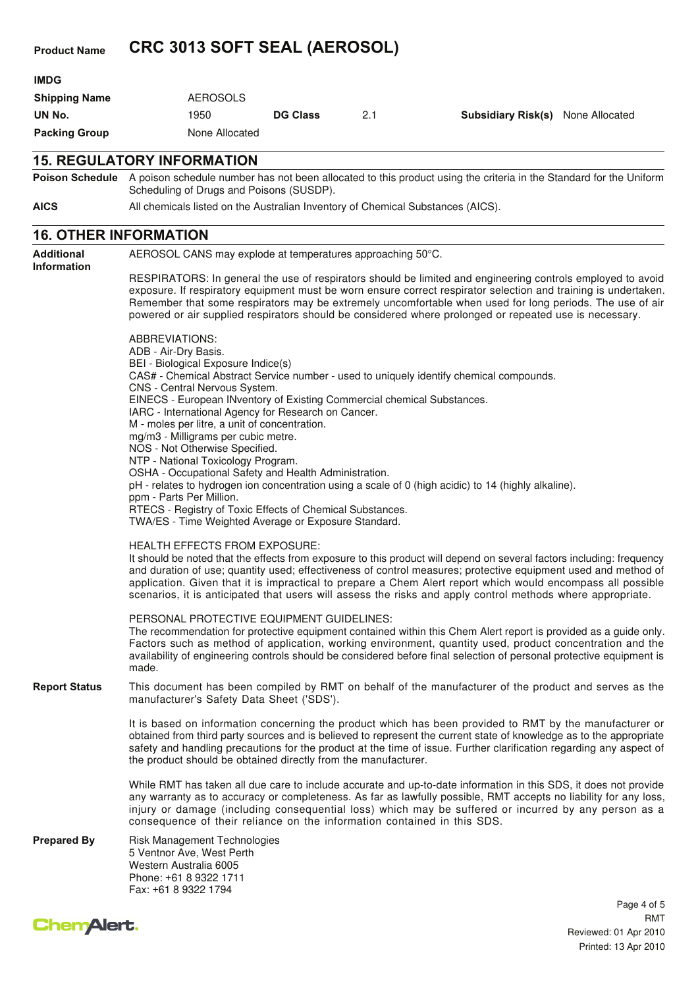## **Product Name CRC 3013 SOFT SEAL (AEROSOL)**

| <b>Packing Group</b> | None Allocated  |                 |     |                                          |  |
|----------------------|-----------------|-----------------|-----|------------------------------------------|--|
| UN No.               | 1950            | <b>DG Class</b> | 2.1 | <b>Subsidiary Risk(s)</b> None Allocated |  |
| <b>Shipping Name</b> | <b>AEROSOLS</b> |                 |     |                                          |  |
| <b>IMDG</b>          |                 |                 |     |                                          |  |

#### **15. REGULATORY INFORMATION**

**Poison Schedule** A poison schedule number has not been allocated to this product using the criteria in the Standard for the Uniform Scheduling of Drugs and Poisons (SUSDP).

**AICS** All chemicals listed on the Australian Inventory of Chemical Substances (AICS).

### **16. OTHER INFORMATION**

**Additional Information** AEROSOL CANS may explode at temperatures approaching 50°C. RESPIRATORS: In general the use of respirators should be limited and engineering controls employed to avoid exposure. If respiratory equipment must be worn ensure correct respirator selection and training is undertaken. Remember that some respirators may be extremely uncomfortable when used for long periods. The use of air powered or air supplied respirators should be considered where prolonged or repeated use is necessary. ABBREVIATIONS: ADB - Air-Dry Basis. BEI - Biological Exposure Indice(s) CAS# - Chemical Abstract Service number - used to uniquely identify chemical compounds. CNS - Central Nervous System. EINECS - European INventory of Existing Commercial chemical Substances. IARC - International Agency for Research on Cancer. M - moles per litre, a unit of concentration. mg/m3 - Milligrams per cubic metre. NOS - Not Otherwise Specified. NTP - National Toxicology Program. OSHA - Occupational Safety and Health Administration. pH - relates to hydrogen ion concentration using a scale of 0 (high acidic) to 14 (highly alkaline). ppm - Parts Per Million. RTECS - Registry of Toxic Effects of Chemical Substances. TWA/ES - Time Weighted Average or Exposure Standard. HEALTH EFFECTS FROM EXPOSURE: It should be noted that the effects from exposure to this product will depend on several factors including: frequency and duration of use; quantity used; effectiveness of control measures; protective equipment used and method of application. Given that it is impractical to prepare a Chem Alert report which would encompass all possible scenarios, it is anticipated that users will assess the risks and apply control methods where appropriate. PERSONAL PROTECTIVE EQUIPMENT GUIDELINES: The recommendation for protective equipment contained within this Chem Alert report is provided as a guide only. Factors such as method of application, working environment, quantity used, product concentration and the availability of engineering controls should be considered before final selection of personal protective equipment is made. **Report Status** This document has been compiled by RMT on behalf of the manufacturer of the product and serves as the manufacturer's Safety Data Sheet ('SDS'). It is based on information concerning the product which has been provided to RMT by the manufacturer or obtained from third party sources and is believed to represent the current state of knowledge as to the appropriate safety and handling precautions for the product at the time of issue. Further clarification regarding any aspect of the product should be obtained directly from the manufacturer. While RMT has taken all due care to include accurate and up-to-date information in this SDS, it does not provide any warranty as to accuracy or completeness. As far as lawfully possible, RMT accepts no liability for any loss, injury or damage (including consequential loss) which may be suffered or incurred by any person as a consequence of their reliance on the information contained in this SDS. **Prepared By** Risk Management Technologies 5 Ventnor Ave, West Perth Western Australia 6005 Phone: +61 8 9322 1711 Fax: +61 8 9322 1794



Page 4 of 5 Reviewed: 01 Apr 2010 Printed: 13 Apr 2010 RMT